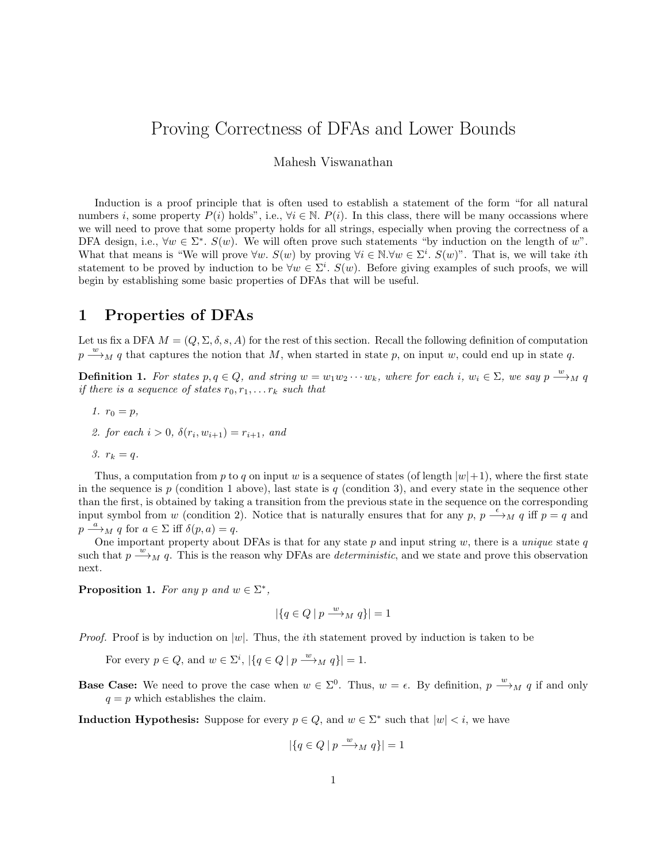# Proving Correctness of DFAs and Lower Bounds

Mahesh Viswanathan

Induction is a proof principle that is often used to establish a statement of the form "for all natural numbers i, some property  $P(i)$  holds", i.e.,  $\forall i \in \mathbb{N}$ .  $P(i)$ . In this class, there will be many occassions where we will need to prove that some property holds for all strings, especially when proving the correctness of a DFA design, i.e.,  $\forall w \in \Sigma^*$ .  $S(w)$ . We will often prove such statements "by induction on the length of w". What that means is "We will prove  $\forall w$ .  $S(w)$  by proving  $\forall i \in \mathbb{N}$ .  $\forall w \in \Sigma^i$ .  $S(w)$ ". That is, we will take *i*th statement to be proved by induction to be  $\forall w \in \Sigma^i$ .  $S(w)$ . Before giving examples of such proofs, we will begin by establishing some basic properties of DFAs that will be useful.

### 1 Properties of DFAs

Let us fix a DFA  $M = (Q, \Sigma, \delta, s, A)$  for the rest of this section. Recall the following definition of computation  $p \stackrel{w}{\longrightarrow}_M q$  that captures the notion that M, when started in state p, on input w, could end up in state q.

**Definition 1.** For states  $p, q \in Q$ , and string  $w = w_1w_2 \cdots w_k$ , where for each i,  $w_i \in \Sigma$ , we say  $p \stackrel{w}{\longrightarrow}_M q$ if there is a sequence of states  $r_0, r_1, \ldots r_k$  such that

- 1.  $r_0 = p$ ,
- 2. for each  $i > 0$ ,  $\delta(r_i, w_{i+1}) = r_{i+1}$ , and
- 3.  $r_k = q$ .

Thus, a computation from p to q on input w is a sequence of states (of length  $|w|+1$ ), where the first state in the sequence is p (condition 1 above), last state is q (condition 3), and every state in the sequence other than the first, is obtained by taking a transition from the previous state in the sequence on the corresponding input symbol from w (condition 2). Notice that is naturally ensures that for any p,  $p \stackrel{\epsilon}{\longrightarrow}_M q$  iff  $p = q$  and  $p \stackrel{a}{\longrightarrow}_M q$  for  $a \in \Sigma$  iff  $\delta(p, a) = q$ .

One important property about DFAs is that for any state  $p$  and input string  $w$ , there is a *unique* state  $q$ such that  $p \stackrel{w}{\longrightarrow}_M q$ . This is the reason why DFAs are *deterministic*, and we state and prove this observation next.

Proposition 1. For any p and  $w \in \Sigma^*$ ,

$$
|\{q \in Q \mid p \xrightarrow{w} M q\}| = 1
$$

*Proof.* Proof is by induction on  $|w|$ . Thus, the *i*th statement proved by induction is taken to be

For every  $p \in Q$ , and  $w \in \Sigma^i$ ,  $|\{q \in Q \mid p \stackrel{w}{\longrightarrow}_M q\}| = 1$ .

**Base Case:** We need to prove the case when  $w \in \Sigma^0$ . Thus,  $w = \epsilon$ . By definition,  $p \stackrel{w}{\longrightarrow}_M q$  if and only  $q = p$  which establishes the claim.

**Induction Hypothesis:** Suppose for every  $p \in Q$ , and  $w \in \Sigma^*$  such that  $|w| < i$ , we have

$$
|\{q \in Q \mid p \xrightarrow{w} M q\}| = 1
$$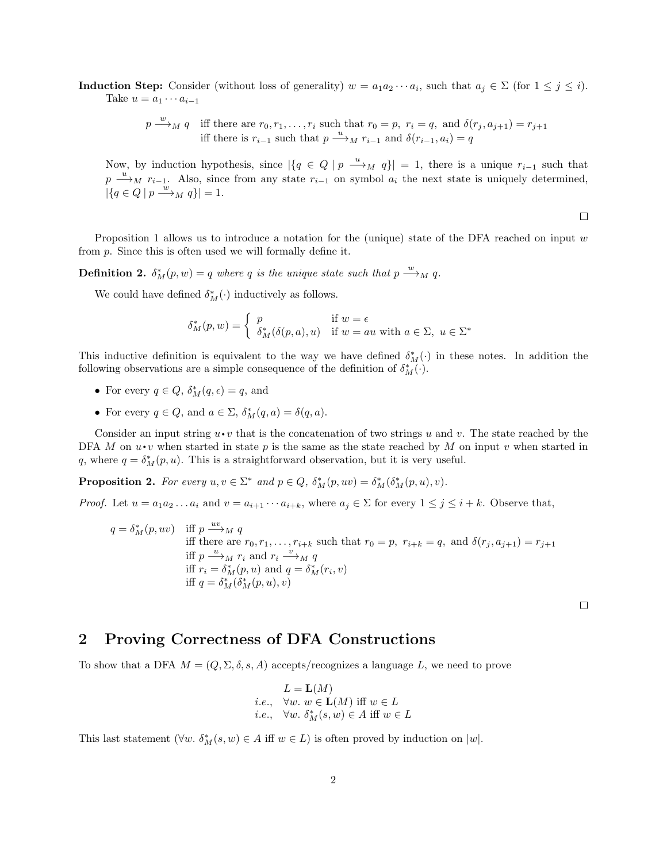**Induction Step:** Consider (without loss of generality)  $w = a_1 a_2 \cdots a_i$ , such that  $a_j \in \Sigma$  (for  $1 \leq j \leq i$ ). Take  $u = a_1 \cdots a_{i-1}$ 

> $p \stackrel{w}{\longrightarrow}_M q$  iff there are  $r_0, r_1, \ldots, r_i$  such that  $r_0 = p$ ,  $r_i = q$ , and  $\delta(r_j, a_{j+1}) = r_{j+1}$ iff there is  $r_{i-1}$  such that  $p \stackrel{u}{\longrightarrow}_M r_{i-1}$  and  $\delta(r_{i-1}, a_i) = q$

Now, by induction hypothesis, since  $|\{q \in Q \mid p \stackrel{u}{\longrightarrow}_M q\}| = 1$ , there is a unique  $r_{i-1}$  such that  $p \stackrel{u}{\longrightarrow}_M r_{i-1}$ . Also, since from any state  $r_{i-1}$  on symbol  $a_i$  the next state is uniquely determined,  $|\{q \in Q \mid p \xrightarrow{w} M q\}| = 1.$ 

 $\Box$ 

Proposition 1 allows us to introduce a notation for the (unique) state of the DFA reached on input  $w$ from p. Since this is often used we will formally define it.

**Definition 2.**  $\delta_M^*(p, w) = q$  where q is the unique state such that  $p \stackrel{w}{\longrightarrow}_M q$ .

We could have defined  $\delta_M^*(\cdot)$  inductively as follows.

$$
\delta^*_{M}(p, w) = \begin{cases} p & \text{if } w = \epsilon \\ \delta^*_{M}(\delta(p, a), u) & \text{if } w = au \text{ with } a \in \Sigma, u \in \Sigma^* \end{cases}
$$

This inductive definition is equivalent to the way we have defined  $\delta_M^*(\cdot)$  in these notes. In addition the following observations are a simple consequence of the definition of  $\delta_M^*(\cdot)$ .

- For every  $q \in Q$ ,  $\delta_M^*(q, \epsilon) = q$ , and
- For every  $q \in Q$ , and  $a \in \Sigma$ ,  $\delta_M^*(q, a) = \delta(q, a)$ .

Consider an input string  $u \cdot v$  that is the concatenation of two strings u and v. The state reached by the DFA M on  $u \cdot v$  when started in state p is the same as the state reached by M on input v when started in q, where  $q = \delta_M^*(p, u)$ . This is a straightforward observation, but it is very useful.

**Proposition 2.** For every  $u, v \in \Sigma^*$  and  $p \in Q$ ,  $\delta_M^*(p, uv) = \delta_M^*(\delta_M^*(p, u), v)$ .

*Proof.* Let  $u = a_1 a_2 ... a_i$  and  $v = a_{i+1} ... a_{i+k}$ , where  $a_j \in \Sigma$  for every  $1 \leq j \leq i+k$ . Observe that,

$$
q = \delta_M^*(p, uv)
$$
 iff  $p \xrightarrow{uv} M q$   
iff there are  $r_0, r_1, \dots, r_{i+k}$  such that  $r_0 = p$ ,  $r_{i+k} = q$ , and  $\delta(r_j, a_{j+1}) = r_{j+1}$   
iff  $p \xrightarrow{u} r_i$  and  $r_i \xrightarrow{v} M q$   
iff  $r_i = \delta_M^*(p, u)$  and  $q = \delta_M^*(r_i, v)$   
iff  $q = \delta_M^*(\delta_M^*(p, u), v)$ 

 $\Box$ 

## 2 Proving Correctness of DFA Constructions

To show that a DFA  $M = (Q, \Sigma, \delta, s, A)$  accepts/recognizes a language L, we need to prove

$$
L = \mathbf{L}(M)
$$
  
i.e.,  $\forall w. w \in \mathbf{L}(M)$  iff  $w \in L$   
i.e.,  $\forall w. \delta_M^*(s, w) \in A$  iff  $w \in L$ 

This last statement  $(\forall w. \delta_M^*(s, w) \in A \text{ iff } w \in L)$  is often proved by induction on  $|w|$ .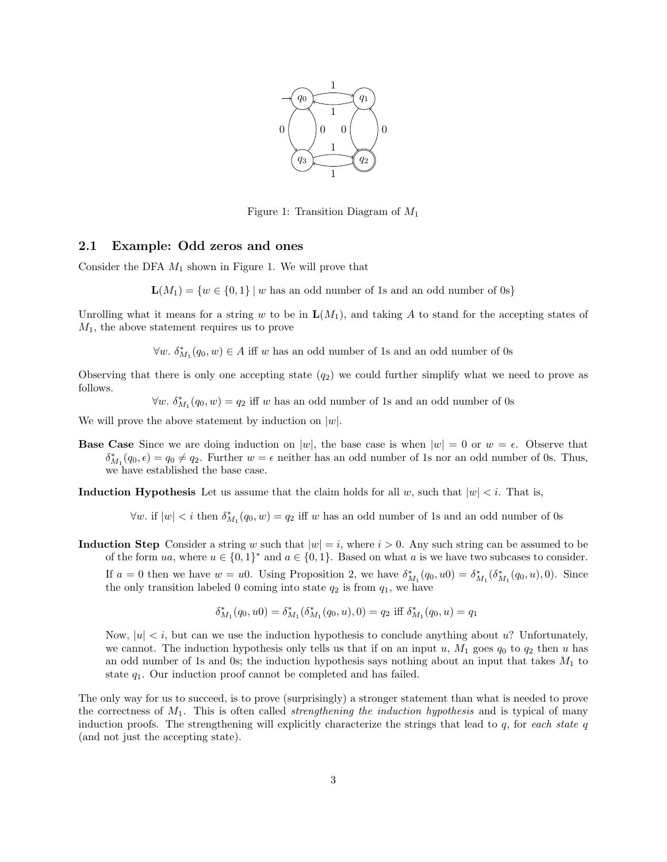

Figure 1: Transition Diagram of  $M_1$ 

#### 2.1 Example: Odd zeros and ones

Consider the DFA  $M_1$  shown in Figure 1. We will prove that

 $L(M_1) = \{w \in \{0,1\} \mid w$  has an odd number of 1s and an odd number of 0s}

Unrolling what it means for a string w to be in  $L(M_1)$ , and taking A to stand for the accepting states of  $M_1$ , the above statement requires us to prove

 $\forall w. \delta^*_{M_1}(q_0, w) \in A$  iff w has an odd number of 1s and an odd number of 0s

Observing that there is only one accepting state  $(q_2)$  we could further simplify what we need to prove as follows.

 $\forall w. \delta^*_{M_1}(q_0, w) = q_2$  iff w has an odd number of 1s and an odd number of 0s

We will prove the above statement by induction on  $|w|$ .

**Base Case** Since we are doing induction on |w|, the base case is when  $|w| = 0$  or  $w = \epsilon$ . Observe that  $\delta_{M_1}^*(q_0, \epsilon) = q_0 \neq q_2$ . Further  $w = \epsilon$  neither has an odd number of 1s nor an odd number of 0s. Thus, we have established the base case.

**Induction Hypothesis** Let us assume that the claim holds for all w, such that  $|w| < i$ . That is,

 $\forall w$ . if  $|w| < i$  then  $\delta_{M_1}^*(q_0, w) = q_2$  iff w has an odd number of 1s and an odd number of 0s

**Induction Step** Consider a string w such that  $|w| = i$ , where  $i > 0$ . Any such string can be assumed to be of the form ua, where  $u \in \{0,1\}^*$  and  $a \in \{0,1\}$ . Based on what a is we have two subcases to consider.

If  $a = 0$  then we have  $w = u0$ . Using Proposition 2, we have  $\delta_{M_1}^*(q_0, u_0) = \delta_{M_1}^*(\delta_{M_1}^*(q_0, u), 0)$ . Since the only transition labeled 0 coming into state  $q_2$  is from  $q_1$ , we have

$$
\delta^*_{M_1}(q_0, u0) = \delta^*_{M_1}(\delta^*_{M_1}(q_0, u), 0) = q_2 \text{ iff } \delta^*_{M_1}(q_0, u) = q_1
$$

Now,  $|u| < i$ , but can we use the induction hypothesis to conclude anything about u? Unfortunately, we cannot. The induction hypothesis only tells us that if on an input u,  $M_1$  goes  $q_0$  to  $q_2$  then u has an odd number of 1s and 0s; the induction hypothesis says nothing about an input that takes  $M_1$  to state  $q_1$ . Our induction proof cannot be completed and has failed.

The only way for us to succeed, is to prove (surprisingly) a stronger statement than what is needed to prove the correctness of  $M_1$ . This is often called *strengthening the induction hypothesis* and is typical of many induction proofs. The strengthening will explicitly characterize the strings that lead to  $q$ , for each state  $q$ (and not just the accepting state).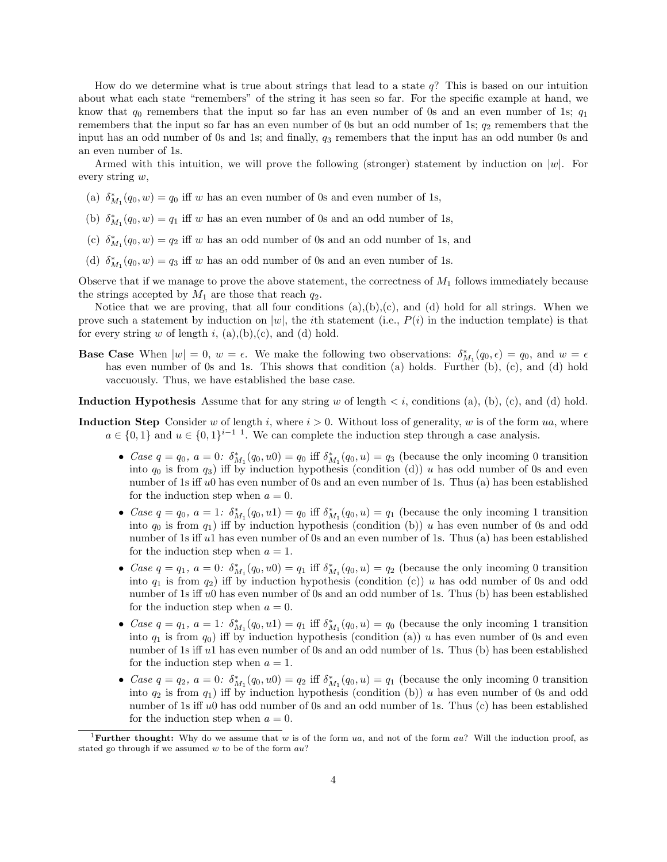How do we determine what is true about strings that lead to a state q? This is based on our intuition about what each state "remembers" of the string it has seen so far. For the specific example at hand, we know that  $q_0$  remembers that the input so far has an even number of 0s and an even number of 1s;  $q_1$ remembers that the input so far has an even number of 0s but an odd number of 1s;  $q_2$  remembers that the input has an odd number of 0s and 1s; and finally,  $q_3$  remembers that the input has an odd number 0s and an even number of 1s.

Armed with this intuition, we will prove the following (stronger) statement by induction on  $|w|$ . For every string w,

- (a)  $\delta_{M_1}^*(q_0, w) = q_0$  iff w has an even number of 0s and even number of 1s,
- (b)  $\delta_{M_1}^*(q_0, w) = q_1$  iff w has an even number of 0s and an odd number of 1s,
- (c)  $\delta_{M_1}^*(q_0, w) = q_2$  iff w has an odd number of 0s and an odd number of 1s, and
- (d)  $\delta_{M_1}^*(q_0, w) = q_3$  iff w has an odd number of 0s and an even number of 1s.

Observe that if we manage to prove the above statement, the correctness of  $M_1$  follows immediately because the strings accepted by  $M_1$  are those that reach  $q_2$ .

Notice that we are proving, that all four conditions  $(a),(b),(c)$ , and  $(d)$  hold for all strings. When we prove such a statement by induction on  $|w|$ , the *i*th statement (i.e.,  $P(i)$  in the induction template) is that for every string  $w$  of length  $i$ ,  $(a),(b),(c)$ , and  $(d)$  hold.

**Base Case** When  $|w| = 0$ ,  $w = \epsilon$ . We make the following two observations:  $\delta_{M_1}^*(q_0, \epsilon) = q_0$ , and  $w = \epsilon$ has even number of 0s and 1s. This shows that condition (a) holds. Further (b), (c), and (d) hold vaccuously. Thus, we have established the base case.

**Induction Hypothesis** Assume that for any string w of length  $\lt i$ , conditions (a), (b), (c), and (d) hold.

- **Induction Step** Consider w of length i, where  $i > 0$ . Without loss of generality, w is of the form ua, where  $a \in \{0,1\}$  and  $u \in \{0,1\}^{i-1}$ . We can complete the induction step through a case analysis.
	- Case  $q = q_0$ ,  $a = 0$ :  $\delta_{M_1}^*(q_0, u) = q_0$  iff  $\delta_{M_1}^*(q_0, u) = q_3$  (because the only incoming 0 transition into  $q_0$  is from  $q_3$ ) iff by induction hypothesis (condition (d)) u has odd number of 0s and even number of 1s iff  $u_0$  has even number of 0s and an even number of 1s. Thus (a) has been established for the induction step when  $a = 0$ .
	- Case  $q = q_0$ ,  $a = 1$ :  $\delta_{M_1}^*(q_0, u_1) = q_0$  iff  $\delta_{M_1}^*(q_0, u) = q_1$  (because the only incoming 1 transition into  $q_0$  is from  $q_1$ ) iff by induction hypothesis (condition (b)) u has even number of 0s and odd number of 1s iff u1 has even number of 0s and an even number of 1s. Thus (a) has been established for the induction step when  $a = 1$ .
	- Case  $q = q_1, a = 0: \delta^*_{M_1}(q_0, u_0) = q_1$  iff  $\delta^*_{M_1}(q_0, u) = q_2$  (because the only incoming 0 transition into  $q_1$  is from  $q_2$ ) iff by induction hypothesis (condition (c)) u has odd number of 0s and odd number of 1s iff  $u_0$  has even number of 0s and an odd number of 1s. Thus (b) has been established for the induction step when  $a = 0$ .
	- Case  $q = q_1, a = 1$ :  $\delta^*_{M_1}(q_0, u_1) = q_1$  iff  $\delta^*_{M_1}(q_0, u) = q_0$  (because the only incoming 1 transition into  $q_1$  is from  $q_0$ ) iff by induction hypothesis (condition (a)) u has even number of 0s and even number of 1s iff u1 has even number of 0s and an odd number of 1s. Thus (b) has been established for the induction step when  $a = 1$ .
	- Case  $q = q_2$ ,  $a = 0$ :  $\delta_{M_1}^*(q_0, u) = q_2$  iff  $\delta_{M_1}^*(q_0, u) = q_1$  (because the only incoming 0 transition into  $q_2$  is from  $q_1$ ) iff by induction hypothesis (condition (b)) u has even number of 0s and odd number of 1s iff u0 has odd number of 0s and an odd number of 1s. Thus (c) has been established for the induction step when  $a = 0$ .

<sup>&</sup>lt;sup>1</sup>Further thought: Why do we assume that w is of the form ua, and not of the form au? Will the induction proof, as stated go through if we assumed  $w$  to be of the form  $au$ ?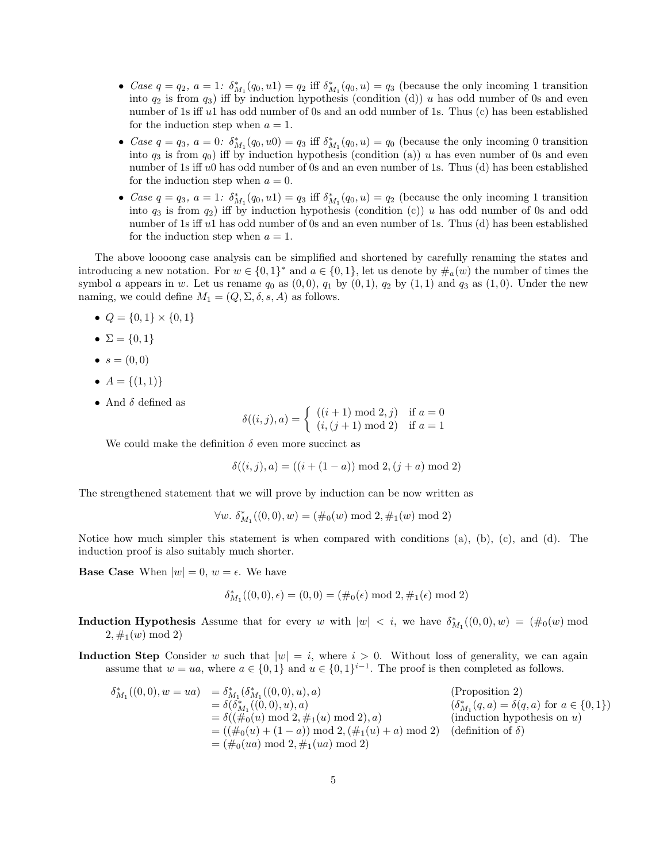- Case  $q = q_2$ ,  $a = 1$ :  $\delta_{M_1}^*(q_0, u_1) = q_2$  iff  $\delta_{M_1}^*(q_0, u) = q_3$  (because the only incoming 1 transition into  $q_2$  is from  $q_3$ ) iff by induction hypothesis (condition (d)) u has odd number of 0s and even number of 1s iff u1 has odd number of 0s and an odd number of 1s. Thus (c) has been established for the induction step when  $a = 1$ .
- Case  $q = q_3$ ,  $a = 0$ :  $\delta_{M_1}^*(q_0, u) = q_3$  iff  $\delta_{M_1}^*(q_0, u) = q_0$  (because the only incoming 0 transition into  $q_3$  is from  $q_0$ ) iff by induction hypothesis (condition (a)) u has even number of 0s and even number of 1s iff u0 has odd number of 0s and an even number of 1s. Thus (d) has been established for the induction step when  $a = 0$ .
- Case  $q = q_3$ ,  $a = 1$ :  $\delta_{M_1}^*(q_0, u_1) = q_3$  iff  $\delta_{M_1}^*(q_0, u) = q_2$  (because the only incoming 1 transition into  $q_3$  is from  $q_2$ ) iff by induction hypothesis (condition (c)) u has odd number of 0s and odd number of 1s iff u1 has odd number of 0s and an even number of 1s. Thus (d) has been established for the induction step when  $a = 1$ .

The above loooong case analysis can be simplified and shortened by carefully renaming the states and introducing a new notation. For  $w \in \{0,1\}^*$  and  $a \in \{0,1\}$ , let us denote by  $\#_a(w)$  the number of times the symbol a appears in w. Let us rename  $q_0$  as  $(0, 0)$ ,  $q_1$  by  $(0, 1)$ ,  $q_2$  by  $(1, 1)$  and  $q_3$  as  $(1, 0)$ . Under the new naming, we could define  $M_1 = (Q, \Sigma, \delta, s, A)$  as follows.

- $Q = \{0, 1\} \times \{0, 1\}$
- $\Sigma = \{0, 1\}$
- $s = (0, 0)$
- $A = \{(1,1)\}\$
- And  $\delta$  defined as

$$
\delta((i,j),a) = \begin{cases} ((i+1) \mod 2,j) & \text{if } a=0\\ (i,(j+1) \mod 2) & \text{if } a=1 \end{cases}
$$

We could make the definition  $\delta$  even more succinct as

$$
\delta((i,j),a) = ((i+(1-a)) \bmod 2, (j+a) \bmod 2)
$$

The strengthened statement that we will prove by induction can be now written as

$$
\forall w. \ \delta^*_{M_1}((0,0),w) = (\#_0(w) \bmod 2, \#_1(w) \bmod 2)
$$

Notice how much simpler this statement is when compared with conditions (a), (b), (c), and (d). The induction proof is also suitably much shorter.

**Base Case** When  $|w| = 0$ ,  $w = \epsilon$ . We have

$$
\delta^*_{M_1}((0,0),\epsilon) = (0,0) = (\#_0(\epsilon) \bmod 2, \#_1(\epsilon) \bmod 2)
$$

- **Induction Hypothesis** Assume that for every w with  $|w| < i$ , we have  $\delta^*_{M_1}((0,0), w) = (\#_0(w) \mod 1)$  $2, \#_1(w) \mod 2$
- **Induction Step** Consider w such that  $|w| = i$ , where  $i > 0$ . Without loss of generality, we can again assume that  $w = ua$ , where  $a \in \{0, 1\}$  and  $u \in \{0, 1\}^{i-1}$ . The proof is then completed as follows.

$$
\delta_{M_1}^*((0,0),w = ua) = \delta_{M_1}^*(\delta_{M_1}^*((0,0),u),a)
$$
\n
$$
= \delta(\delta_{M_1}^*((0,0),u),a)
$$
\n
$$
= \delta((\#_0(u) \mod 2, \#_1(u) \mod 2),a)
$$
\n
$$
= ((\#_0(u) + (1-a)) \mod 2, (\#_1(u) + a) \mod 2)
$$
\n
$$
= (\#_0(ua) \mod 2, \#_1(ua) \mod 2)
$$
\n
$$
= (\#_0(ua) \mod 2, \#_1(ua) \mod 2)
$$
\n
$$
= (\#_0(ua) \mod 2, \#_1(ua) \mod 2)
$$
\n
$$
(definition of \delta)
$$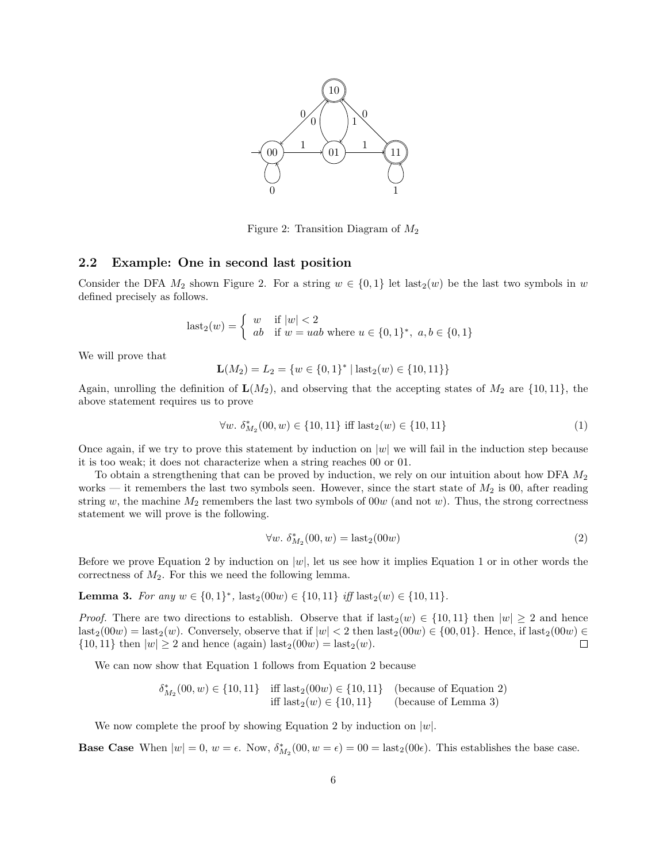

Figure 2: Transition Diagram of  $M_2$ 

#### 2.2 Example: One in second last position

Consider the DFA  $M_2$  shown Figure 2. For a string  $w \in \{0,1\}$  let last $2(w)$  be the last two symbols in w defined precisely as follows.

$$
last_2(w) = \begin{cases} w & \text{if } |w| < 2\\ ab & \text{if } w = uab \text{ where } u \in \{0, 1\}^*, \ a, b \in \{0, 1\} \end{cases}
$$

We will prove that

$$
\mathbf{L}(M_2) = L_2 = \{w \in \{0, 1\}^* \mid \text{last}_2(w) \in \{10, 11\}\}
$$

Again, unrolling the definition of  $\mathbf{L}(M_2)$ , and observing that the accepting states of  $M_2$  are  $\{10, 11\}$ , the above statement requires us to prove

$$
\forall w. \ \delta^*_{M_2}(00, w) \in \{10, 11\} \text{ iff } \text{last}_2(w) \in \{10, 11\} \tag{1}
$$

Once again, if we try to prove this statement by induction on  $|w|$  we will fail in the induction step because it is too weak; it does not characterize when a string reaches 00 or 01.

To obtain a strengthening that can be proved by induction, we rely on our intuition about how DFA  $M_2$ works — it remembers the last two symbols seen. However, since the start state of  $M_2$  is 00, after reading string w, the machine  $M_2$  remembers the last two symbols of 00w (and not w). Thus, the strong correctness statement we will prove is the following.

$$
\forall w. \ \delta_{M_2}^*(00, w) = \text{last}_2(00w) \tag{2}
$$

Before we prove Equation 2 by induction on  $|w|$ , let us see how it implies Equation 1 or in other words the correctness of  $M_2$ . For this we need the following lemma.

Lemma 3. For any  $w \in \{0,1\}^*$ ,  $\text{last}_2(00w) \in \{10,11\}$  iff  $\text{last}_2(w) \in \{10,11\}$ .

*Proof.* There are two directions to establish. Observe that if  $\text{last}_2(w) \in \{10, 11\}$  then  $|w| \geq 2$  and hence  $\text{last}_2(00w) = \text{last}_2(w)$ . Conversely, observe that if  $|w| < 2$  then  $\text{last}_2(00w) \in \{00, 01\}$ . Hence, if  $\text{last}_2(00w) \in$  $\{10, 11\}$  then  $|w| \ge 2$  and hence (again) last<sub>2</sub>(00w) = last<sub>2</sub>(w).  $\Box$ 

We can now show that Equation 1 follows from Equation 2 because

$$
\begin{array}{ll}\delta_{M_2}^*(00,w)\in\{10,11\} & \text{iff } \text{last}_2(00w)\in\{10,11\} & \text{(because of Equation 2)}\\ & \text{iff } \text{last}_2(w)\in\{10,11\} & \text{(because of Lemma 3)}\end{array}
$$

We now complete the proof by showing Equation 2 by induction on  $|w|$ .

**Base Case** When  $|w| = 0$ ,  $w = \epsilon$ . Now,  $\delta_{M_2}^*(00, w = \epsilon) = 00 = \text{last}_2(00\epsilon)$ . This establishes the base case.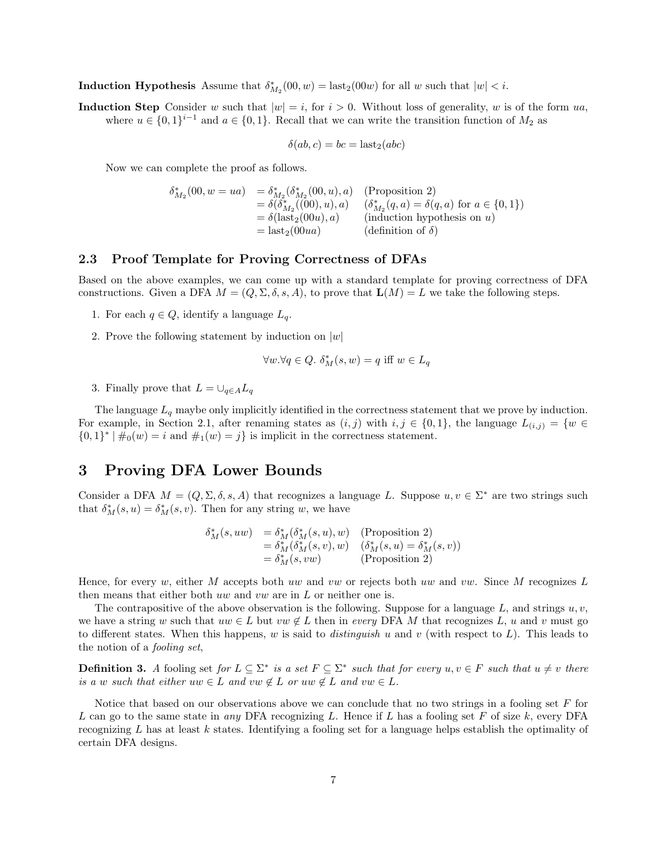**Induction Hypothesis** Assume that  $\delta_{M_2}^*(00, w) = \text{last}_2(00w)$  for all w such that  $|w| < i$ .

Induction Step Consider w such that  $|w| = i$ , for  $i > 0$ . Without loss of generality, w is of the form ua, where  $u \in \{0,1\}^{i-1}$  and  $a \in \{0,1\}$ . Recall that we can write the transition function of  $M_2$  as

$$
\delta(ab, c) = bc = last_2(abc)
$$

Now we can complete the proof as follows.

$$
\delta_{M_2}^*(00, w = ua) = \delta_{M_2}^*(\delta_{M_2}^*(00, u), a)
$$
 (Proposition 2)  
\n
$$
= \delta(\delta_{M_2}^*((00), u), a)
$$
  $(\delta_{M_2}^*(q, a) = \delta(q, a)$  for  $a \in \{0, 1\})$   
\n
$$
= \delta(\text{last}_2(00u), a)
$$
 (induction hypothesis on u)  
\n
$$
= \text{last}_2(00ua)
$$
 (definition of  $\delta$ )

#### 2.3 Proof Template for Proving Correctness of DFAs

Based on the above examples, we can come up with a standard template for proving correctness of DFA constructions. Given a DFA  $M = (Q, \Sigma, \delta, s, A)$ , to prove that  $\mathbf{L}(M) = L$  we take the following steps.

- 1. For each  $q \in Q$ , identify a language  $L_q$ .
- 2. Prove the following statement by induction on  $|w|$

$$
\forall w. \forall q \in Q. \ \delta^*_M(s, w) = q \text{ iff } w \in L_q
$$

3. Finally prove that  $L = \bigcup_{q \in A} L_q$ 

The language  $L_q$  maybe only implicitly identified in the correctness statement that we prove by induction. For example, in Section 2.1, after renaming states as  $(i, j)$  with  $i, j \in \{0, 1\}$ , the language  $L_{(i,j)} = \{w \in$  $\{0,1\}^* \mid \#_0(w) = i$  and  $\#_1(w) = j\}$  is implicit in the correctness statement.

### 3 Proving DFA Lower Bounds

Consider a DFA  $M = (Q, \Sigma, \delta, s, A)$  that recognizes a language L. Suppose  $u, v \in \Sigma^*$  are two strings such that  $\delta_M^*(s, u) = \delta_M^*(s, v)$ . Then for any string w, we have

$$
\begin{array}{ll}\delta_{M}^{*}(s,uw) & =\delta_{M}^{*}(\delta_{M}^{*}(s,u),w) & \text{(Proposition 2)}\\ & =\delta_{M}^{*}(\delta_{M}^{*}(s,v),w) & (\delta_{M}^{*}(s,u)=\delta_{M}^{*}(s,v))\\ & =\delta_{M}^{*}(s,vw) & \text{(Proposition 2)}\end{array}
$$

Hence, for every w, either M accepts both uw and vw or rejects both uw and vw. Since M recognizes L then means that either both uw and vw are in L or neither one is.

The contrapositive of the above observation is the following. Suppose for a language  $L$ , and strings  $u, v$ , we have a string w such that  $uw \in L$  but  $vw \notin L$  then in every DFA M that recognizes L, u and v must go to different states. When this happens, w is said to *distinguish u* and v (with respect to  $L$ ). This leads to the notion of a fooling set,

**Definition 3.** A fooling set for  $L \subseteq \Sigma^*$  is a set  $F \subseteq \Sigma^*$  such that for every  $u, v \in F$  such that  $u \neq v$  there is a w such that either uw  $\in L$  and  $vw \notin L$  or uw  $\notin L$  and  $vw \in L$ .

Notice that based on our observations above we can conclude that no two strings in a fooling set F for L can go to the same state in any DFA recognizing L. Hence if L has a fooling set F of size  $k$ , every DFA recognizing L has at least k states. Identifying a fooling set for a language helps establish the optimality of certain DFA designs.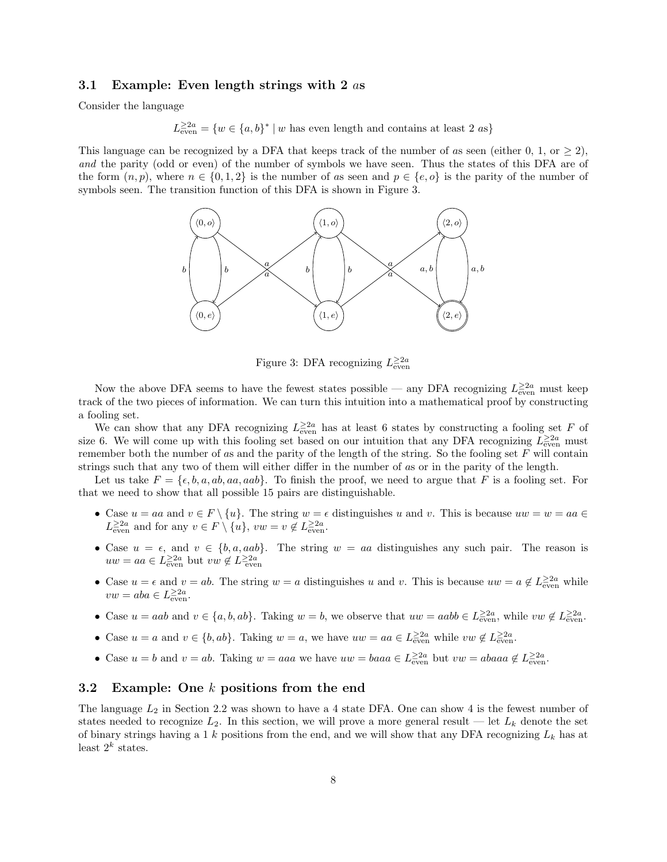#### 3.1 Example: Even length strings with 2 as

Consider the language

 $L_{\text{even}}^{\geq 2a} = \{w \in \{a, b\}^* \mid w \text{ has even length and contains at least } 2 \text{ as} \}$ 

This language can be recognized by a DFA that keeps track of the number of as seen (either 0, 1, or  $\geq 2$ ), and the parity (odd or even) of the number of symbols we have seen. Thus the states of this DFA are of the form  $(n, p)$ , where  $n \in \{0, 1, 2\}$  is the number of as seen and  $p \in \{e, o\}$  is the parity of the number of symbols seen. The transition function of this DFA is shown in Figure 3.



Figure 3: DFA recognizing  $L_{\text{even}}^{\geq 2a}$ 

Now the above DFA seems to have the fewest states possible — any DFA recognizing  $L_{\text{even}}^{\geq 2a}$  must keep track of the two pieces of information. We can turn this intuition into a mathematical proof by constructing a fooling set.

We can show that any DFA recognizing  $L_{\text{even}}^{\geq 2a}$  has at least 6 states by constructing a fooling set F of size 6. We will come up with this fooling set based on our intuition that any DFA recognizing  $L_{\text{even}}^{\geq 2a}$  must remember both the number of as and the parity of the length of the string. So the fooling set  $F$  will contain strings such that any two of them will either differ in the number of as or in the parity of the length.

Let us take  $F = \{\epsilon, b, a, ab, aa, aab\}$ . To finish the proof, we need to argue that F is a fooling set. For that we need to show that all possible 15 pairs are distinguishable.

- Case  $u = aa$  and  $v \in F \setminus \{u\}$ . The string  $w = \epsilon$  distinguishes u and v. This is because  $uw = w = aa \in$  $L^{\geq 2a}_{\text{even}}$  and for any  $v \in F \setminus \{u\}, vw = v \notin L^{\geq 2a}_{\text{even}}.$
- Case  $u = \epsilon$ , and  $v \in \{b, a, aab\}$ . The string  $w = aa$  distinguishes any such pair. The reason is  $uw = aa \in L^{\geq 2a}_{\text{even}}$  but  $vw \notin L^{\geq 2a}_{\text{even}}$
- Case  $u = \epsilon$  and  $v = ab$ . The string  $w = a$  distinguishes u and v. This is because  $uw = a \notin L^{\geq 2a}_{even}$  while  $vw = aba \in L^{\geq 2a}_{\text{even}}.$
- Case  $u = aab$  and  $v \in \{a, b, ab\}$ . Taking  $w = b$ , we observe that  $uw = aabb \in L_{\text{even}}^{\geq 2a}$ , while  $vw \notin L_{\text{even}}^{\geq 2a}$ .
- Case  $u = a$  and  $v \in \{b, ab\}$ . Taking  $w = a$ , we have  $uw = aa \in L_{\text{even}}^{\geq 2a}$  while  $vw \notin L_{\text{even}}^{\geq 2a}$ .
- Case  $u = b$  and  $v = ab$ . Taking  $w = aaa$  we have  $uw = baaa \in L_{\text{even}}^{\geq 2a}$  but  $vw = abaaa \notin L_{\text{even}}^{\geq 2a}$ .

### 3.2 Example: One k positions from the end

The language  $L_2$  in Section 2.2 was shown to have a 4 state DFA. One can show 4 is the fewest number of states needed to recognize  $L_2$ . In this section, we will prove a more general result — let  $L_k$  denote the set of binary strings having a 1 k positions from the end, and we will show that any DFA recognizing  $L_k$  has at least  $2^k$  states.